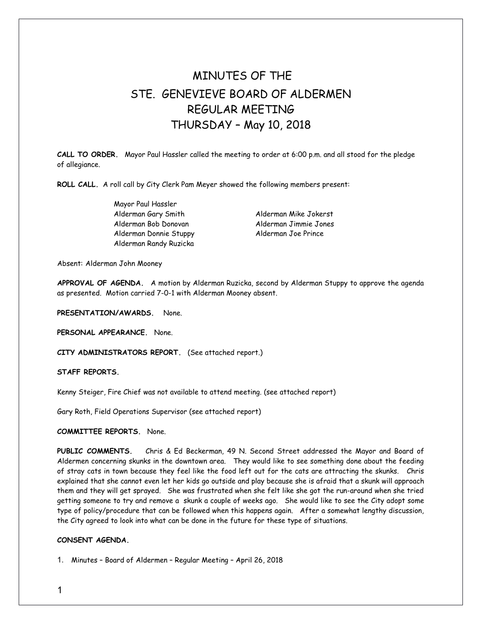## MINUTES OF THE STE. GENEVIEVE BOARD OF ALDERMEN REGULAR MEETING THURSDAY – May 10, 2018

**CALL TO ORDER.** Mayor Paul Hassler called the meeting to order at 6:00 p.m. and all stood for the pledge of allegiance.

**ROLL CALL.** A roll call by City Clerk Pam Meyer showed the following members present:

Mayor Paul Hassler Alderman Gary Smith Alderman Mike Jokerst Alderman Bob Donovan Alderman Jimmie Jones Alderman Donnie Stuppy Alderman Joe Prince Alderman Randy Ruzicka

Absent: Alderman John Mooney

**APPROVAL OF AGENDA.** A motion by Alderman Ruzicka, second by Alderman Stuppy to approve the agenda as presented. Motion carried 7-0-1 with Alderman Mooney absent.

**PRESENTATION/AWARDS.** None.

**PERSONAL APPEARANCE.** None.

**CITY ADMINISTRATORS REPORT.** (See attached report.)

**STAFF REPORTS.** 

Kenny Steiger, Fire Chief was not available to attend meeting. (see attached report)

Gary Roth, Field Operations Supervisor (see attached report)

**COMMITTEE REPORTS.** None.

**PUBLIC COMMENTS.** Chris & Ed Beckerman, 49 N. Second Street addressed the Mayor and Board of Aldermen concerning skunks in the downtown area. They would like to see something done about the feeding of stray cats in town because they feel like the food left out for the cats are attracting the skunks. Chris explained that she cannot even let her kids go outside and play because she is afraid that a skunk will approach them and they will get sprayed. She was frustrated when she felt like she got the run-around when she tried getting someone to try and remove a skunk a couple of weeks ago. She would like to see the City adopt some type of policy/procedure that can be followed when this happens again. After a somewhat lengthy discussion, the City agreed to look into what can be done in the future for these type of situations.

## **CONSENT AGENDA.**

1. Minutes – Board of Aldermen – Regular Meeting – April 26, 2018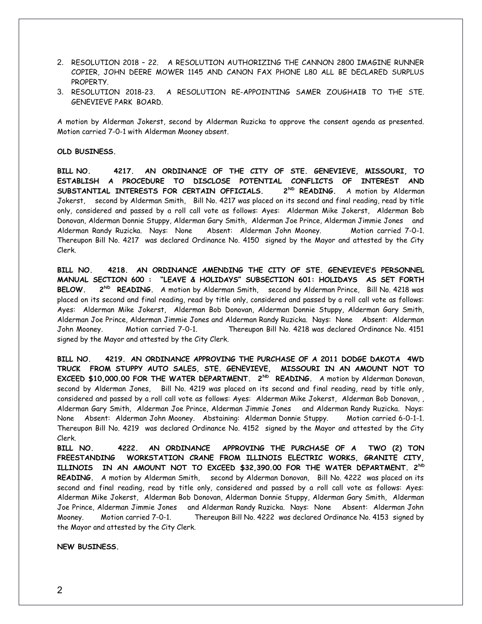- 2. RESOLUTION 2018 22. A RESOLUTION AUTHORIZING THE CANNON 2800 IMAGINE RUNNER COPIER, JOHN DEERE MOWER 1145 AND CANON FAX PHONE L80 ALL BE DECLARED SURPLUS PROPERTY.
- 3. RESOLUTION 2018-23. A RESOLUTION RE-APPOINTING SAMER ZOUGHAIB TO THE STE. GENEVIEVE PARK BOARD.

A motion by Alderman Jokerst, second by Alderman Ruzicka to approve the consent agenda as presented. Motion carried 7-0-1 with Alderman Mooney absent.

## **OLD BUSINESS.**

**BILL NO. 4217. AN ORDINANCE OF THE CITY OF STE. GENEVIEVE, MISSOURI, TO ESTABLISH A PROCEDURE TO DISCLOSE POTENTIAL CONFLICTS OF INTEREST AND SUBSTANTIAL INTERESTS FOR CERTAIN OFFICIALS. 2ND READING.** A motion by Alderman Jokerst, second by Alderman Smith, Bill No. 4217 was placed on its second and final reading, read by title only, considered and passed by a roll call vote as follows: Ayes: Alderman Mike Jokerst, Alderman Bob Donovan, Alderman Donnie Stuppy, Alderman Gary Smith, Alderman Joe Prince, Alderman Jimmie Jones and Alderman Randy Ruzicka. Nays: None Absent: Alderman John Mooney. Motion carried 7-0-1. Thereupon Bill No. 4217 was declared Ordinance No. 4150 signed by the Mayor and attested by the City Clerk.

**BILL NO. 4218. AN ORDINANCE AMENDING THE CITY OF STE. GENEVIEVE'S PERSONNEL MANUAL SECTION 600 : "LEAVE & HOLIDAYS" SUBSECTION 601: HOLIDAYS AS SET FORTH BELOW. 2ND READING.** A motion by Alderman Smith, second by Alderman Prince, Bill No. 4218 was placed on its second and final reading, read by title only, considered and passed by a roll call vote as follows: Ayes: Alderman Mike Jokerst, Alderman Bob Donovan, Alderman Donnie Stuppy, Alderman Gary Smith, Alderman Joe Prince, Alderman Jimmie Jones and Alderman Randy Ruzicka. Nays: None Absent: Alderman John Mooney. Motion carried 7-0-1. Thereupon Bill No. 4218 was declared Ordinance No. 4151 signed by the Mayor and attested by the City Clerk.

**BILL NO. 4219. AN ORDINANCE APPROVING THE PURCHASE OF A 2011 DODGE DAKOTA 4WD TRUCK FROM STUPPY AUTO SALES, STE. GENEVIEVE, MISSOURI IN AN AMOUNT NOT TO EXCEED \$10,000.00 FOR THE WATER DEPARTMENT. 2<sup>ND</sup> READING.** A motion by Alderman Donovan, second by Alderman Jones, Bill No. 4219 was placed on its second and final reading, read by title only, considered and passed by a roll call vote as follows: Ayes: Alderman Mike Jokerst, Alderman Bob Donovan, , Alderman Gary Smith, Alderman Joe Prince, Alderman Jimmie Jones and Alderman Randy Ruzicka. Nays: None Absent: Alderman John Mooney. Abstaining: Alderman Donnie Stuppy. Motion carried 6-0-1-1. Thereupon Bill No. 4219 was declared Ordinance No. 4152 signed by the Mayor and attested by the City Clerk.

**BILL NO. 4222. AN ORDINANCE APPROVING THE PURCHASE OF A TWO (2) TON FREESTANDING WORKSTATION CRANE FROM ILLINOIS ELECTRIC WORKS, GRANITE CITY, ILLINOIS IN AN AMOUNT NOT TO EXCEED \$32,390.00 FOR THE WATER DEPARTMENT. 2ND READING.** A motion by Alderman Smith, second by Alderman Donovan, Bill No. 4222 was placed on its second and final reading, read by title only, considered and passed by a roll call vote as follows: Ayes: Alderman Mike Jokerst, Alderman Bob Donovan, Alderman Donnie Stuppy, Alderman Gary Smith, Alderman Joe Prince, Alderman Jimmie Jones and Alderman Randy Ruzicka. Nays: None Absent: Alderman John Mooney. Motion carried 7-0-1. Thereupon Bill No. 4222 was declared Ordinance No. 4153 signed by the Mayor and attested by the City Clerk.

**NEW BUSINESS.**